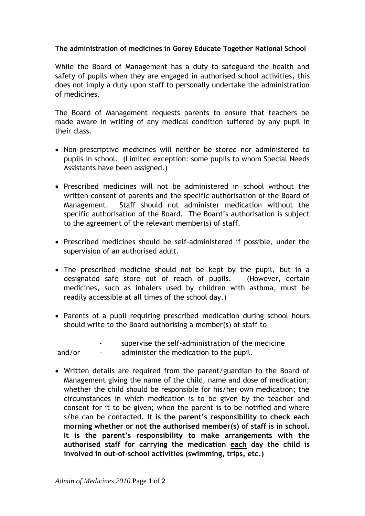## **The administration of medicines in Gorey Educate Together National School**

While the Board of Management has a duty to safeguard the health and safety of pupils when they are engaged in authorised school activities, this does not imply a duty upon staff to personally undertake the administration of medicines.

The Board of Management requests parents to ensure that teachers be made aware in writing of any medical condition suffered by any pupil in their class.

- Non-prescriptive medicines will neither be stored nor administered to pupils in school. (Limited exception: some pupils to whom Special Needs Assistants have been assigned.)
- Prescribed medicines will not be administered in school without the written consent of parents and the specific authorisation of the Board of Management. Staff should not administer medication without the specific authorisation of the Board. The Board's authorisation is subject to the agreement of the relevant member(s) of staff.
- Prescribed medicines should be self-administered if possible, under the supervision of an authorised adult.
- The prescribed medicine should not be kept by the pupil, but in a designated safe store out of reach of pupils. (However, certain medicines, such as inhalers used by children with asthma, must be readily accessible at all times of the school day.)
- Parents of a pupil requiring prescribed medication during school hours should write to the Board authorising a member(s) of staff to

|        | $\overline{\phantom{a}}$ | supervise the self-administration of the medicine |
|--------|--------------------------|---------------------------------------------------|
| and/or | $\overline{\phantom{a}}$ | administer the medication to the pupil.           |

 Written details are required from the parent/guardian to the Board of Management giving the name of the child, name and dose of medication; whether the child should be responsible for his/her own medication; the circumstances in which medication is to be given by the teacher and consent for it to be given; when the parent is to be notified and where s/he can be contacted. **It is the parent's responsibility to check each morning whether or not the authorised member(s) of staff is in school. It is the parent's responsibility to make arrangements with the authorised staff for carrying the medication each day the child is involved in out-of-school activities (swimming, trips, etc.)**